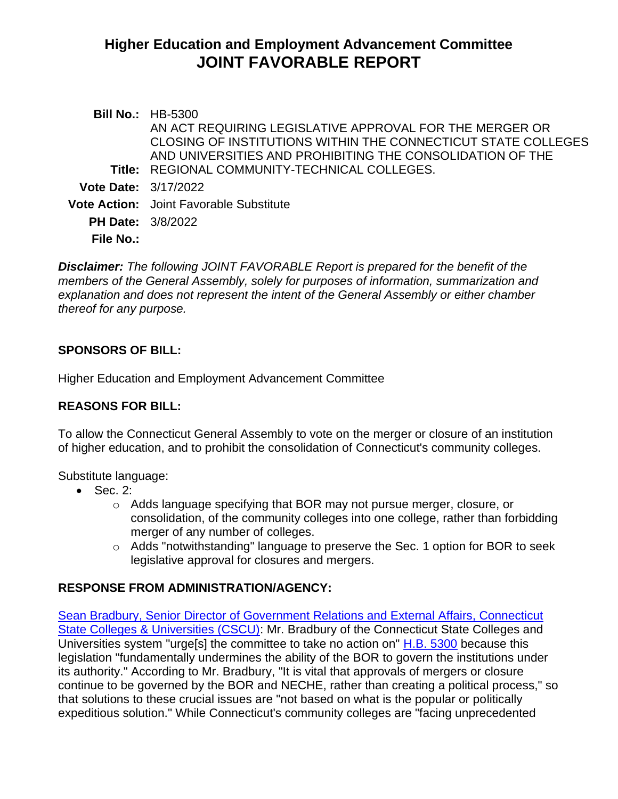# **Higher Education and Employment Advancement Committee JOINT FAVORABLE REPORT**

|                             | <b>Bill No.: HB-5300</b>                                      |
|-----------------------------|---------------------------------------------------------------|
|                             | AN ACT REQUIRING LEGISLATIVE APPROVAL FOR THE MERGER OR       |
|                             | CLOSING OF INSTITUTIONS WITHIN THE CONNECTICUT STATE COLLEGES |
|                             | AND UNIVERSITIES AND PROHIBITING THE CONSOLIDATION OF THE     |
|                             | Title: REGIONAL COMMUNITY-TECHNICAL COLLEGES.                 |
| <b>Vote Date: 3/17/2022</b> |                                                               |
|                             | <b>Vote Action:</b> Joint Favorable Substitute                |
| <b>PH Date: 3/8/2022</b>    |                                                               |
| <b>File No.:</b>            |                                                               |
|                             |                                                               |

*Disclaimer: The following JOINT FAVORABLE Report is prepared for the benefit of the members of the General Assembly, solely for purposes of information, summarization and explanation and does not represent the intent of the General Assembly or either chamber thereof for any purpose.*

#### **SPONSORS OF BILL:**

Higher Education and Employment Advancement Committee

#### **REASONS FOR BILL:**

To allow the Connecticut General Assembly to vote on the merger or closure of an institution of higher education, and to prohibit the consolidation of Connecticut's community colleges.

Substitute language:

- Sec. 2:
	- o Adds language specifying that BOR may not pursue merger, closure, or consolidation, of the community colleges into one college, rather than forbidding merger of any number of colleges.
	- o Adds "notwithstanding" language to preserve the Sec. 1 option for BOR to seek legislative approval for closures and mergers.

## **RESPONSE FROM ADMINISTRATION/AGENCY:**

[Sean Bradbury, Senior Director of Government Relations and External Affairs, Connecticut](https://www.cga.ct.gov/2022/heddata/tmy/2022HB-05300-R000308-Bradbury,%20Sean,%20Director,%20Government%20Relations-CSCU-TMY.PDF)  [State Colleges & Universities \(CSCU\):](https://www.cga.ct.gov/2022/heddata/tmy/2022HB-05300-R000308-Bradbury,%20Sean,%20Director,%20Government%20Relations-CSCU-TMY.PDF) Mr. Bradbury of the Connecticut State Colleges and Universities system "urge[s] the committee to take no action on" [H.B. 5300](https://www.cga.ct.gov/2022/TOB/H/PDF/2022HB-05300-R00-HB.PDF) because this legislation "fundamentally undermines the ability of the BOR to govern the institutions under its authority." According to Mr. Bradbury, "It is vital that approvals of mergers or closure continue to be governed by the BOR and NECHE, rather than creating a political process," so that solutions to these crucial issues are "not based on what is the popular or politically expeditious solution." While Connecticut's community colleges are "facing unprecedented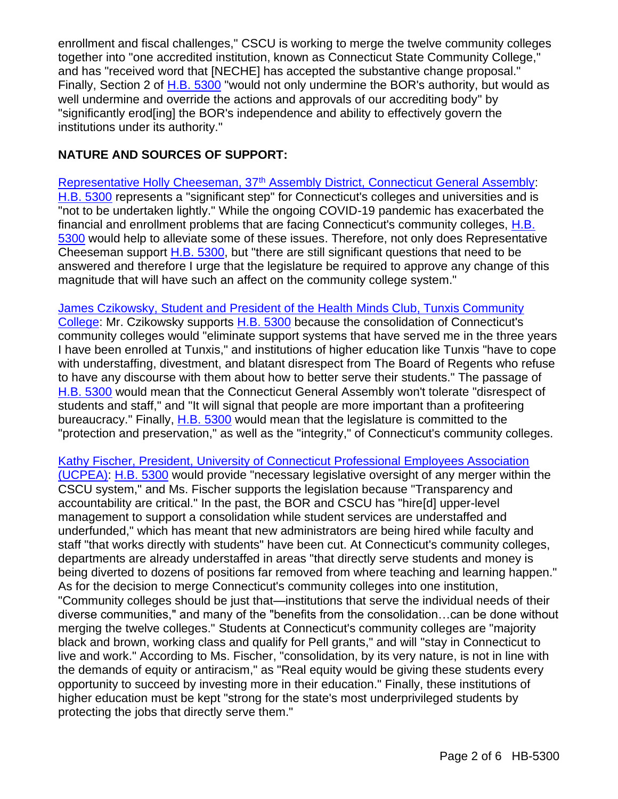enrollment and fiscal challenges," CSCU is working to merge the twelve community colleges together into "one accredited institution, known as Connecticut State Community College," and has "received word that [NECHE] has accepted the substantive change proposal." Finally, Section 2 of [H.B. 5300](https://www.cga.ct.gov/2022/TOB/H/PDF/2022HB-05300-R00-HB.PDF) "would not only undermine the BOR's authority, but would as well undermine and override the actions and approvals of our accrediting body" by "significantly erod[ing] the BOR's independence and ability to effectively govern the institutions under its authority."

### **NATURE AND SOURCES OF SUPPORT:**

Representative Holly Cheeseman, 37<sup>th</sup> [Assembly District, Connecticut General Assembly:](https://www.cga.ct.gov/2022/heddata/tmy/2022HB-05300-R000308-Cheeseman,%20Holly,%20State%20Representative-37th%20District-TMY.PDF) [H.B. 5300](https://www.cga.ct.gov/2022/TOB/H/PDF/2022HB-05300-R00-HB.PDF) represents a "significant step" for Connecticut's colleges and universities and is "not to be undertaken lightly." While the ongoing COVID-19 pandemic has exacerbated the financial and enrollment problems that are facing Connecticut's community colleges, **H.B.** [5300](https://www.cga.ct.gov/2022/TOB/H/PDF/2022HB-05300-R00-HB.PDF) would help to alleviate some of these issues. Therefore, not only does Representative Cheeseman support [H.B. 5300,](https://www.cga.ct.gov/2022/TOB/H/PDF/2022HB-05300-R00-HB.PDF) but "there are still significant questions that need to be answered and therefore I urge that the legislature be required to approve any change of this magnitude that will have such an affect on the community college system."

[James Czikowsky, Student and President of the Health Minds Club, Tunxis Community](https://www.cga.ct.gov/2022/heddata/tmy/2022HB-05300-R000308-Czikowsky,%20Jamie,%20Student-Tunxis%20Community%20College-TMY.PDF)  [College:](https://www.cga.ct.gov/2022/heddata/tmy/2022HB-05300-R000308-Czikowsky,%20Jamie,%20Student-Tunxis%20Community%20College-TMY.PDF) Mr. Czikowsky supports [H.B. 5300](https://www.cga.ct.gov/2022/TOB/H/PDF/2022HB-05300-R00-HB.PDF) because the consolidation of Connecticut's community colleges would "eliminate support systems that have served me in the three years I have been enrolled at Tunxis," and institutions of higher education like Tunxis "have to cope with understaffing, divestment, and blatant disrespect from The Board of Regents who refuse to have any discourse with them about how to better serve their students." The passage of [H.B. 5300](https://www.cga.ct.gov/2022/TOB/H/PDF/2022HB-05300-R00-HB.PDF) would mean that the Connecticut General Assembly won't tolerate "disrespect of students and staff," and "It will signal that people are more important than a profiteering bureaucracy." Finally, [H.B. 5300](https://www.cga.ct.gov/2022/TOB/H/PDF/2022HB-05300-R00-HB.PDF) would mean that the legislature is committed to the "protection and preservation," as well as the "integrity," of Connecticut's community colleges.

Kathy Fischer, [President, University of Connecticut Professional Employees Association](https://www.cga.ct.gov/2022/heddata/tmy/2022HB-05300-R000308-Fischer,%20Kathy,%20President-UCPEA-TMY.PDF)  [\(UCPEA\):](https://www.cga.ct.gov/2022/heddata/tmy/2022HB-05300-R000308-Fischer,%20Kathy,%20President-UCPEA-TMY.PDF) [H.B. 5300](https://www.cga.ct.gov/2022/TOB/H/PDF/2022HB-05300-R00-HB.PDF) would provide "necessary legislative oversight of any merger within the CSCU system," and Ms. Fischer supports the legislation because "Transparency and accountability are critical." In the past, the BOR and CSCU has "hire[d] upper-level management to support a consolidation while student services are understaffed and underfunded," which has meant that new administrators are being hired while faculty and staff "that works directly with students" have been cut. At Connecticut's community colleges, departments are already understaffed in areas "that directly serve students and money is being diverted to dozens of positions far removed from where teaching and learning happen." As for the decision to merge Connecticut's community colleges into one institution, "Community colleges should be just that—institutions that serve the individual needs of their diverse communities," and many of the "benefits from the consolidation…can be done without merging the twelve colleges." Students at Connecticut's community colleges are "majority black and brown, working class and qualify for Pell grants," and will "stay in Connecticut to live and work." According to Ms. Fischer, "consolidation, by its very nature, is not in line with the demands of equity or antiracism," as "Real equity would be giving these students every opportunity to succeed by investing more in their education." Finally, these institutions of higher education must be kept "strong for the state's most underprivileged students by protecting the jobs that directly serve them."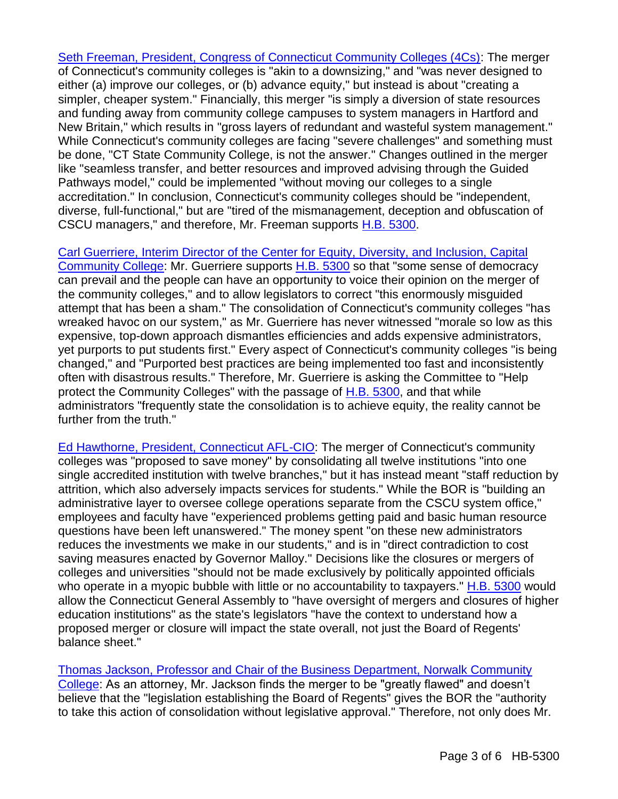[Seth Freeman, President, Congress of Connecticut Community Colleges \(4Cs\):](https://www.cga.ct.gov/2022/heddata/tmy/2022HB-05300-R000308-Freeman,%20Seth,%20President-Congress%20of%20CT%20Community%20Colleges-TMY.PDF) The merger of Connecticut's community colleges is "akin to a downsizing," and "was never designed to either (a) improve our colleges, or (b) advance equity," but instead is about "creating a simpler, cheaper system." Financially, this merger "is simply a diversion of state resources and funding away from community college campuses to system managers in Hartford and New Britain," which results in "gross layers of redundant and wasteful system management." While Connecticut's community colleges are facing "severe challenges" and something must be done, "CT State Community College, is not the answer." Changes outlined in the merger like "seamless transfer, and better resources and improved advising through the Guided Pathways model," could be implemented "without moving our colleges to a single accreditation." In conclusion, Connecticut's community colleges should be "independent, diverse, full-functional," but are "tired of the mismanagement, deception and obfuscation of CSCU managers," and therefore, Mr. Freeman supports [H.B. 5300.](https://www.cga.ct.gov/2022/TOB/H/PDF/2022HB-05300-R00-HB.PDF)

#### [Carl Guerriere, Interim Director of the Center for Equity, Diversity, and Inclusion, Capital](https://www.cga.ct.gov/2022/heddata/tmy/2022HB-05300-R000308-Guerriere,%20Carl,%20Interim%20Director%20for%20Equity-Capital%20Community%20College-TMY.PDF)

[Community College:](https://www.cga.ct.gov/2022/heddata/tmy/2022HB-05300-R000308-Guerriere,%20Carl,%20Interim%20Director%20for%20Equity-Capital%20Community%20College-TMY.PDF) Mr. Guerriere supports [H.B. 5300](https://www.cga.ct.gov/2022/TOB/H/PDF/2022HB-05300-R00-HB.PDF) so that "some sense of democracy can prevail and the people can have an opportunity to voice their opinion on the merger of the community colleges," and to allow legislators to correct "this enormously misguided attempt that has been a sham." The consolidation of Connecticut's community colleges "has wreaked havoc on our system," as Mr. Guerriere has never witnessed "morale so low as this expensive, top-down approach dismantles efficiencies and adds expensive administrators, yet purports to put students first." Every aspect of Connecticut's community colleges "is being changed," and "Purported best practices are being implemented too fast and inconsistently often with disastrous results." Therefore, Mr. Guerriere is asking the Committee to "Help protect the Community Colleges" with the passage of [H.B. 5300,](https://www.cga.ct.gov/2022/TOB/H/PDF/2022HB-05300-R00-HB.PDF) and that while administrators "frequently state the consolidation is to achieve equity, the reality cannot be further from the truth."

[Ed Hawthorne, President, Connecticut AFL-CIO:](https://www.cga.ct.gov/2022/heddata/tmy/2022HB-05300-R000308-Hawthorne,%20Ed,%20President-Connecticut%20AFL-CIO-TMY.PDF) The merger of Connecticut's community colleges was "proposed to save money" by consolidating all twelve institutions "into one single accredited institution with twelve branches," but it has instead meant "staff reduction by attrition, which also adversely impacts services for students." While the BOR is "building an administrative layer to oversee college operations separate from the CSCU system office," employees and faculty have "experienced problems getting paid and basic human resource questions have been left unanswered." The money spent "on these new administrators reduces the investments we make in our students," and is in "direct contradiction to cost saving measures enacted by Governor Malloy." Decisions like the closures or mergers of colleges and universities "should not be made exclusively by politically appointed officials who operate in a myopic bubble with little or no accountability to taxpayers." [H.B. 5300](https://www.cga.ct.gov/2022/TOB/H/PDF/2022HB-05300-R00-HB.PDF) would allow the Connecticut General Assembly to "have oversight of mergers and closures of higher education institutions" as the state's legislators "have the context to understand how a proposed merger or closure will impact the state overall, not just the Board of Regents' balance sheet."

#### [Thomas Jackson, Professor and Chair of the Business Department, Norwalk Community](https://www.cga.ct.gov/2022/heddata/tmy/2022HB-05300-R000308-Jackson,%20Thomas,%20Chair,%20Business%20Department-Norwalk%20Community%20College-TMY.PDF)

[College:](https://www.cga.ct.gov/2022/heddata/tmy/2022HB-05300-R000308-Jackson,%20Thomas,%20Chair,%20Business%20Department-Norwalk%20Community%20College-TMY.PDF) As an attorney, Mr. Jackson finds the merger to be "greatly flawed" and doesn't believe that the "legislation establishing the Board of Regents" gives the BOR the "authority to take this action of consolidation without legislative approval." Therefore, not only does Mr.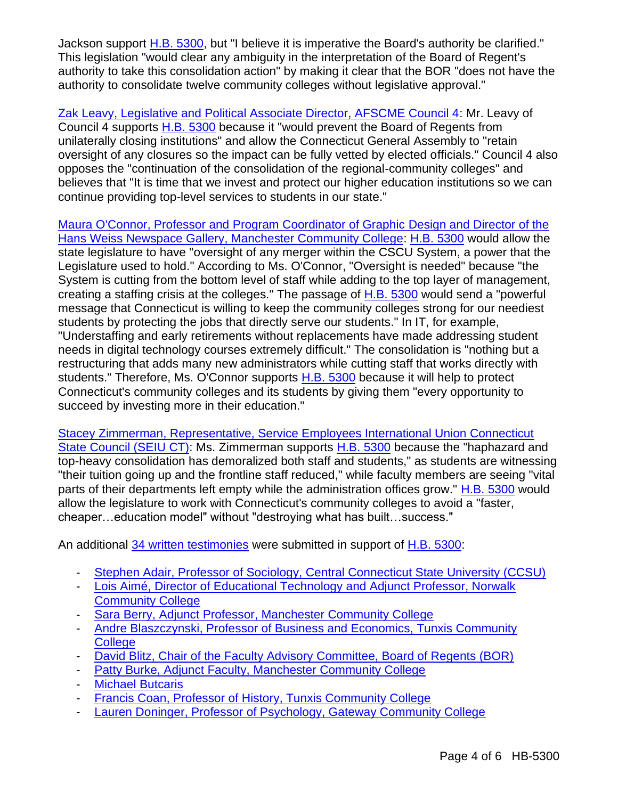Jackson support [H.B. 5300,](https://www.cga.ct.gov/2022/TOB/H/PDF/2022HB-05300-R00-HB.PDF) but "I believe it is imperative the Board's authority be clarified." This legislation "would clear any ambiguity in the interpretation of the Board of Regent's authority to take this consolidation action" by making it clear that the BOR "does not have the authority to consolidate twelve community colleges without legislative approval."

[Zak Leavy, Legislative and Political Associate Director, AFSCME Council 4:](https://www.cga.ct.gov/2022/heddata/tmy/2022HB-05300-R000308-Leavy,%20Zak,%20Legislative%20Political%20Director-AFSCME%20Council%204-TMY.PDF) Mr. Leavy of Council 4 supports [H.B. 5300](https://www.cga.ct.gov/2022/TOB/H/PDF/2022HB-05300-R00-HB.PDF) because it "would prevent the Board of Regents from unilaterally closing institutions" and allow the Connecticut General Assembly to "retain oversight of any closures so the impact can be fully vetted by elected officials." Council 4 also opposes the "continuation of the consolidation of the regional-community colleges" and believes that "It is time that we invest and protect our higher education institutions so we can continue providing top-level services to students in our state."

[Maura O'Connor, Professor and Program Coordinator of Graphic Design and Director of the](https://www.cga.ct.gov/2022/heddata/tmy/2022HB-05300-R000308-O%20Connor,%20Maura,%20Hans%20Weiss%20Newspace%20Gallery-Manchester%20Community%20College-TMY.PDF)  [Hans Weiss Newspace Gallery, Manchester Community College:](https://www.cga.ct.gov/2022/heddata/tmy/2022HB-05300-R000308-O%20Connor,%20Maura,%20Hans%20Weiss%20Newspace%20Gallery-Manchester%20Community%20College-TMY.PDF) [H.B. 5300](https://www.cga.ct.gov/2022/TOB/H/PDF/2022HB-05300-R00-HB.PDF) would allow the state legislature to have "oversight of any merger within the CSCU System, a power that the Legislature used to hold." According to Ms. O'Connor, "Oversight is needed" because "the System is cutting from the bottom level of staff while adding to the top layer of management, creating a staffing crisis at the colleges." The passage of [H.B. 5300](https://www.cga.ct.gov/2022/TOB/H/PDF/2022HB-05300-R00-HB.PDF) would send a "powerful message that Connecticut is willing to keep the community colleges strong for our neediest students by protecting the jobs that directly serve our students." In IT, for example, "Understaffing and early retirements without replacements have made addressing student needs in digital technology courses extremely difficult." The consolidation is "nothing but a restructuring that adds many new administrators while cutting staff that works directly with students." Therefore, Ms. O'Connor supports [H.B. 5300](https://www.cga.ct.gov/2022/TOB/H/PDF/2022HB-05300-R00-HB.PDF) because it will help to protect Connecticut's community colleges and its students by giving them "every opportunity to succeed by investing more in their education."

[Stacey Zimmerman, Representative, Service Employees International Union Connecticut](https://www.cga.ct.gov/2022/heddata/tmy/2022HB-05300-R000308-Zimmerman,%20Stacey-SEIU%20CT%20State%20Council-TMY.PDF)  [State Council \(SEIU CT\):](https://www.cga.ct.gov/2022/heddata/tmy/2022HB-05300-R000308-Zimmerman,%20Stacey-SEIU%20CT%20State%20Council-TMY.PDF) Ms. Zimmerman supports [H.B. 5300](https://www.cga.ct.gov/2022/TOB/H/PDF/2022HB-05300-R00-HB.PDF) because the "haphazard and top-heavy consolidation has demoralized both staff and students," as students are witnessing "their tuition going up and the frontline staff reduced," while faculty members are seeing "vital parts of their departments left empty while the administration offices grow." [H.B. 5300](https://www.cga.ct.gov/2022/TOB/H/PDF/2022HB-05300-R00-HB.PDF) would allow the legislature to work with Connecticut's community colleges to avoid a "faster, cheaper…education model" without "destroying what has built…success."

An additional [34 written testimonies](https://www.cga.ct.gov/asp/menu/CommDocTmyBill.asp?comm_code=hed&bill=HB-05300&doc_year=2022) were submitted in support of [H.B. 5300:](https://www.cga.ct.gov/2022/TOB/H/PDF/2022HB-05300-R00-HB.PDF)

- [Stephen Adair, Professor of Sociology, Central Connecticut State University \(CCSU\)](https://www.cga.ct.gov/2022/heddata/tmy/2022HB-05300-R000308-Adair,%20Stephen,%20Professor%20of%20Sociology-Central%20Connecticut%20State%20University-TMY.PDF)
- [Lois Aimé, Director of Educational Technology and Adjunct Professor, Norwalk](https://www.cga.ct.gov/2022/heddata/tmy/2022HB-05300-R000308-Aim-,%20Lois,%20Adjunct%20Professor-Norwalk%20Community%20College-TMY.PDF)  [Community College](https://www.cga.ct.gov/2022/heddata/tmy/2022HB-05300-R000308-Aim-,%20Lois,%20Adjunct%20Professor-Norwalk%20Community%20College-TMY.PDF)
- [Sara Berry, Adjunct Professor, Manchester Community College](https://www.cga.ct.gov/2022/heddata/tmy/2022HB-05300-R000308-Berry,%20Sara,%20Adjunct%20Professor-Manchester%20Community%20College-TMY.PDF)
- Andre Blaszczynski, Professor of Business and Economics, Tunxis Community **[College](https://www.cga.ct.gov/2022/heddata/tmy/2022HB-05300-R000308-Blaszczynski,%20Andre,%20Business%20and%20Economics%20Prof-Tunxis%20Community%20College-TMY.PDF)**
- [David Blitz, Chair of the Faculty Advisory Committee, Board of Regents \(BOR\)](https://www.cga.ct.gov/2022/heddata/tmy/2022HB-05300-R000308-Blitz,%20David,%20Professor%20of%20Philosophy-Central%20Connecticut%20State%20University-TMY.PDF)
- [Patty Burke, Adjunct Faculty, Manchester Community College](https://www.cga.ct.gov/2022/heddata/tmy/2022HB-05300-R000308-Burke,%20Patty,%20Adjunct%20Faculty-Manchester%20Community%20College-TMY.PDF)
- **[Michael Butcaris](https://www.cga.ct.gov/2022/heddata/tmy/2022HB-05300-R000308-Butcaris,%20Michael-TMY.PDF)**
- [Francis Coan, Professor of History, Tunxis Community College](https://www.cga.ct.gov/2022/heddata/tmy/2022HB-05300-R000308-Coan,%20Francis,%20Professor%20of%20History-Tunxis%20Community%20College-TMY.PDF)
- [Lauren Doninger, Professor of Psychology, Gateway Community College](https://www.cga.ct.gov/2022/heddata/tmy/2022HB-05300-R000308-Doninger,%20Lauren,%20Professor%20of%20Psychology-Gateway%20Community%20College-TMY.PDF)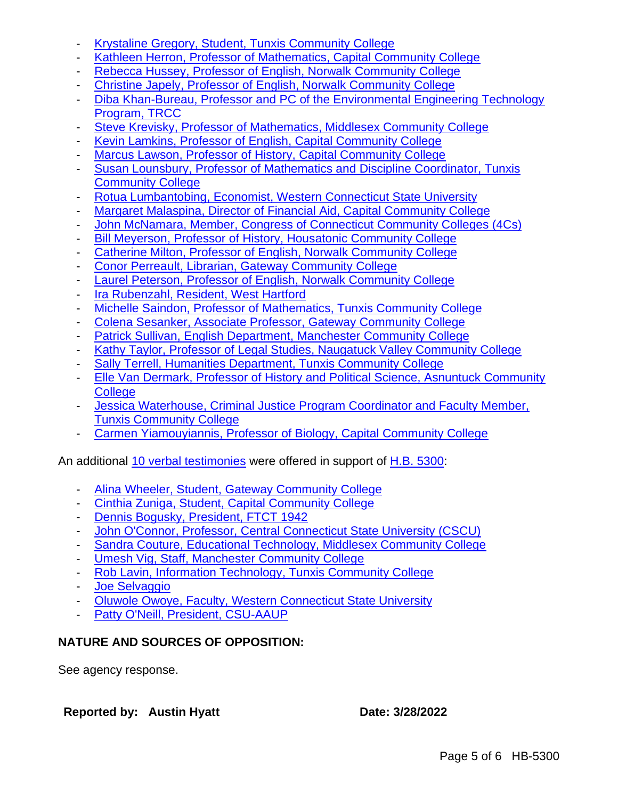- [Krystaline Gregory, Student, Tunxis Community College](https://www.cga.ct.gov/2022/heddata/tmy/2022HB-05300-R000308-Gregory,%20Krystaline-Tunxis%20Community%20College-TMY.PDF)
- [Kathleen Herron, Professor of Mathematics, Capital Community College](https://www.cga.ct.gov/2022/heddata/tmy/2022HB-05300-R000308-Herron,%20Kathleen,%20Mathematics%20Teacher-Capital%20Community%20College-TMY.PDF)
- [Rebecca Hussey, Professor of English, Norwalk Community College](https://www.cga.ct.gov/2022/heddata/tmy/2022HB-05300-R000308-Hussey,%20Rebecca,%20Professor%20of%20English-Norwalk%20Community%20College-TMY.PDF)
- [Christine Japely, Professor of English, Norwalk Community College](https://www.cga.ct.gov/2022/heddata/tmy/2022HB-05300-R000308-Japely,%20Christine,%20English%20Professor-Norwalk%20Community%20College-TMY.PDF)
- [Diba Khan-Bureau, Professor and PC of the Environmental Engineering Technology](https://www.cga.ct.gov/2022/heddata/tmy/2022HB-05300-R000308-Khan-Bureau,%20Diba,%20Professor%20and%20PC-Environmental%20Engineering%20Tech%20at%20TRCC-TMY.PDF)  [Program, TRCC](https://www.cga.ct.gov/2022/heddata/tmy/2022HB-05300-R000308-Khan-Bureau,%20Diba,%20Professor%20and%20PC-Environmental%20Engineering%20Tech%20at%20TRCC-TMY.PDF)
- [Steve Krevisky, Professor of Mathematics, Middlesex Community College](https://www.cga.ct.gov/2022/heddata/tmy/2022HB-05300-R000308-Krevisky,%20Steve,%20Professor%20of%20Mathematics-Middlesex%20Community%20College-TMY.PDF)
- [Kevin Lamkins, Professor of English, Capital Community College](https://www.cga.ct.gov/2022/heddata/tmy/2022HB-05300-R000308-Lamkins,%20Kevin,%20Professor%20of%20English-Capital%20Community%20College-TMY.PDF)
- [Marcus Lawson, Professor of History, Capital Community College](https://www.cga.ct.gov/2022/heddata/tmy/2022HB-05300-R000308-Lawson,%20Marcus,%20Professor%20of%20History-Capital%20Community%20College-TMY.PDF)
- [Susan Lounsbury, Professor of Mathematics and Discipline Coordinator, Tunxis](https://www.cga.ct.gov/2022/heddata/tmy/2022HB-05300-R000308-Lounsbury,%20Susan,%20Mathematics%20Professor-Tunxis%20Community%20College-TMY.PDF)  [Community College](https://www.cga.ct.gov/2022/heddata/tmy/2022HB-05300-R000308-Lounsbury,%20Susan,%20Mathematics%20Professor-Tunxis%20Community%20College-TMY.PDF)
- [Rotua Lumbantobing, Economist, Western Connecticut State University](https://www.cga.ct.gov/2022/heddata/tmy/2022HB-05300-R000308-Lumbantobing,%20Rotua,%20Economist-Western%20Connecticut%20State%20University-TMY.PDF)
- [Margaret Malaspina, Director of Financial Aid, Capital Community College](https://www.cga.ct.gov/2022/heddata/tmy/2022HB-05300-R000308-Malaspina,%20Margaret,%20Director%20of%20Financial%20Aid-Capital%20Community%20College-TMY.PDF)
- [John McNamara, Member, Congress of Connecticut Community Colleges \(4Cs\)](https://www.cga.ct.gov/2022/heddata/tmy/2022HB-05300-R000308-McNamara,%20John,%20Member-Congress%20of%20CT%20Community%20Colleges-TMY.PDF)
- [Bill Meyerson, Professor of History, Housatonic Community College](https://www.cga.ct.gov/2022/heddata/tmy/2022HB-05300-R000308-Meyerson,%20Bill,%20Professor%20of%20History-Housatonic%20Community%20College-TMY.PDF)
- [Catherine Milton, Professor of English, Norwalk Community College](https://www.cga.ct.gov/2022/heddata/tmy/2022HB-05300-R000308-Milton,%20Catherine,%20Professor%20of%20English-Norwalk%20Community%20College-TMY.PDF)
- [Conor Perreault, Librarian, Gateway Community College](https://www.cga.ct.gov/2022/heddata/tmy/2022HB-05300-R000308-Perreault,%20Conor,%20Librarian-Gateway%20Community%20College-TMY.PDF)
- [Laurel Peterson, Professor of English, Norwalk Community College](https://www.cga.ct.gov/2022/heddata/tmy/2022HB-05300-R000308-Peterson,%20Laurel,%20Professor%20of%20English-Norwalk%20Community%20College-TMY.PDF)
- [Ira Rubenzahl, Resident, West Hartford](https://www.cga.ct.gov/2022/heddata/tmy/2022HB-05300-R000308-Rubenzahl,%20Ira-TMY.PDF)
- [Michelle Saindon, Professor of Mathematics, Tunxis Community College](https://www.cga.ct.gov/2022/heddata/tmy/2022HB-05300-R000308-Saindon,%20Michelle,%20Mathematics%20Professor-Tunxis%20Community%20College-TMY.PDF)
- [Colena Sesanker, Associate Professor, Gateway Community College](https://www.cga.ct.gov/2022/heddata/tmy/2022HB-05300-R000308-Sesanker,%20Colena,%20Professor%20of%20Philosophy-Gateway%20Community%20College-TMY.PDF)
- [Patrick Sullivan, English Department,](https://www.cga.ct.gov/2022/heddata/tmy/2022HB-05300-R000308-Sullivan,%20Patrick,%20English%20Department-Manchester%20Community%20College-TMY.PDF) Manchester Community College
- [Kathy Taylor, Professor of Legal Studies, Naugatuck Valley Community College](https://www.cga.ct.gov/2022/heddata/tmy/2022HB-05300-R000308-Taylor,%20Kathy,%20Professor%20of%20Legal%20Studies-Naugatuck%20Valley%20Community%20College-TMY.PDF)
- [Sally Terrell, Humanities Department, Tunxis Community College](https://www.cga.ct.gov/2022/heddata/tmy/2022HB-05300-R000308-Terrell,%20Sally,%20Humanities%20Department-Tunxis%20Community%20College-TMY.PDF)
- [Elle Van Dermark, Professor of History and Political Science, Asnuntuck Community](https://www.cga.ct.gov/2022/heddata/tmy/2022HB-05300-R000308-Van%20Dermark,%20Elle,%20Professor%20of%20History-Asnuntuck%20Community%20College-TMY.PDF)  **[College](https://www.cga.ct.gov/2022/heddata/tmy/2022HB-05300-R000308-Van%20Dermark,%20Elle,%20Professor%20of%20History-Asnuntuck%20Community%20College-TMY.PDF)**
- Jessica Waterhouse, Criminal Justice Program Coordinator and Faculty Member, [Tunxis Community College](https://www.cga.ct.gov/2022/heddata/tmy/2022HB-05300-R000308-Waterhouse,%20Jessica,%20Program%20Coordinator-Tunxis%20Community%20College-TMY.PDF)
- [Carmen Yiamouyiannis, Professor of Biology, Capital Community College](https://www.cga.ct.gov/2022/heddata/tmy/2022HB-05300-R000308-Yiamouyiannis,%20Carmen,%20Biology%20Teacher-Capital%20Community%20College-TMY.PDF)

An additional 10 verbal [testimonies](https://www.cga.ct.gov/2022/heddata/tmy/2022ZZ-00000-R000308-Speaker%20Order-TMY.pdf) were offered in support of [H.B. 5300:](https://www.cga.ct.gov/2022/TOB/H/PDF/2022HB-05300-R00-HB.PDF)

- Alina Wheeler, Student, [Gateway Community College](https://www.youtube.com/watch?v=_4mjnQpPsaQ)
- [Cinthia Zuniga, Student, Capital Community College](https://www.youtube.com/watch?v=_4mjnQpPsaQ)
- [Dennis Bogusky, President, FTCT 1942](https://www.youtube.com/watch?v=_4mjnQpPsaQ)
- [John O'Connor, Professor, Central Connecticut State University \(CSCU\)](https://www.youtube.com/watch?v=_4mjnQpPsaQ)
- [Sandra Couture, Educational Technology, Middlesex Community College](https://www.youtube.com/watch?v=_4mjnQpPsaQ)
- [Umesh Vig, Staff, Manchester Community College](https://www.youtube.com/watch?v=_4mjnQpPsaQ)
- [Rob Lavin, Information Technology, Tunxis Community College](https://www.youtube.com/watch?v=_4mjnQpPsaQ)
- [Joe Selvaggio](https://www.youtube.com/watch?v=_4mjnQpPsaQ)
- [Oluwole Owoye, Faculty, Western Connecticut State University](https://www.youtube.com/watch?v=_4mjnQpPsaQ)
- [Patty O'Neill, President, CSU-AAUP](https://www.youtube.com/watch?v=_4mjnQpPsaQ)

## **NATURE AND SOURCES OF OPPOSITION:**

See agency response.

## **Reported by: Austin Hyatt Date: 3/28/2022**